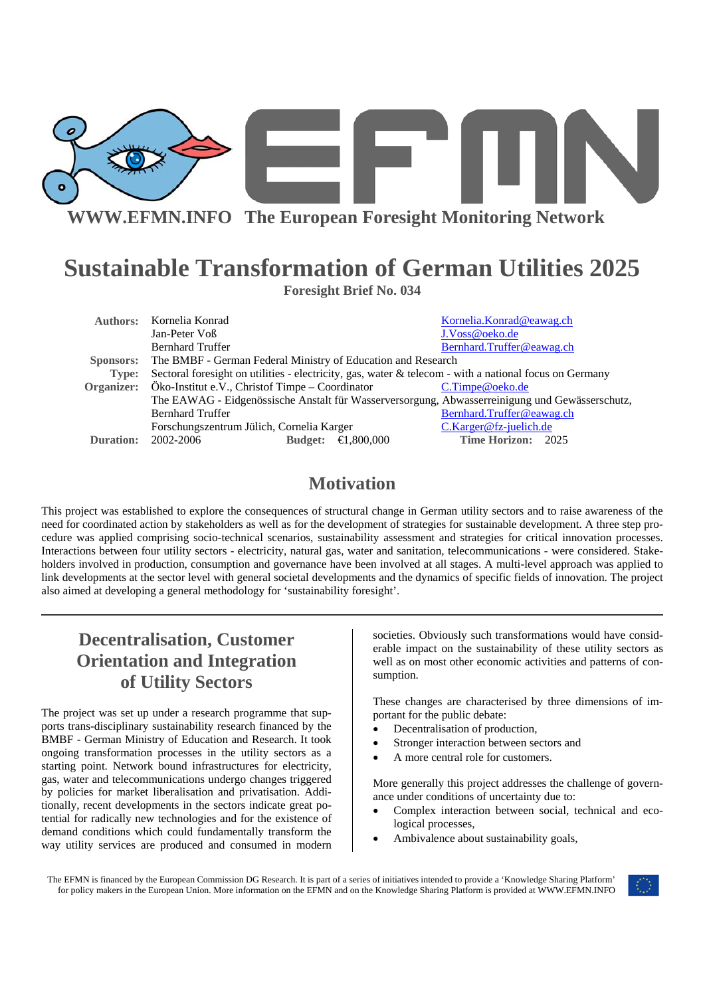

**WWW.EFMN.INFO The European Foresight Monitoring Network**

# **Sustainable Transformation of German Utilities 2025**

**Foresight Brief No. 034** 

|                                                                                                                 | Authors: Kornelia Konrad                                     |                                                                                                                                             |                       | Kornelia.Konrad@eawag.ch  |                           |  |
|-----------------------------------------------------------------------------------------------------------------|--------------------------------------------------------------|---------------------------------------------------------------------------------------------------------------------------------------------|-----------------------|---------------------------|---------------------------|--|
|                                                                                                                 | Jan-Peter Voß                                                |                                                                                                                                             |                       | J.Voss@oeko.de            |                           |  |
|                                                                                                                 | <b>Bernhard Truffer</b>                                      |                                                                                                                                             |                       | Bernhard.Truffer@eawag.ch |                           |  |
| <b>Sponsors:</b>                                                                                                | The BMBF - German Federal Ministry of Education and Research |                                                                                                                                             |                       |                           |                           |  |
| Sectoral foresight on utilities - electricity, gas, water & telecom - with a national focus on Germany<br>Type: |                                                              |                                                                                                                                             |                       |                           |                           |  |
|                                                                                                                 | Organizer: Öko-Institut e.V., Christof Timpe – Coordinator   |                                                                                                                                             |                       | $C.\mathsf{Time@oeko.de}$ |                           |  |
|                                                                                                                 |                                                              | The EAWAG - Eidgenössische Anstalt für Wasserversorgung, Abwasserreinigung und Gewässerschutz,<br>Forschungszentrum Jülich, Cornelia Karger |                       |                           |                           |  |
|                                                                                                                 | <b>Bernhard Truffer</b>                                      |                                                                                                                                             |                       |                           | Bernhard.Truffer@eawag.ch |  |
|                                                                                                                 |                                                              |                                                                                                                                             |                       |                           | C.Karger@fz-juelich.de    |  |
| Duration:                                                                                                       | 2002-2006                                                    | <b>Budget:</b>                                                                                                                              | $\bigoplus$ , 800,000 | Time Horizon: 2025        |                           |  |
|                                                                                                                 |                                                              |                                                                                                                                             |                       |                           |                           |  |

## **Motivation**

This project was established to explore the consequences of structural change in German utility sectors and to raise awareness of the need for coordinated action by stakeholders as well as for the development of strategies for sustainable development. A three step procedure was applied comprising socio-technical scenarios, sustainability assessment and strategies for critical innovation processes. Interactions between four utility sectors - electricity, natural gas, water and sanitation, telecommunications - were considered. Stakeholders involved in production, consumption and governance have been involved at all stages. A multi-level approach was applied to link developments at the sector level with general societal developments and the dynamics of specific fields of innovation. The project also aimed at developing a general methodology for 'sustainability foresight'.

# **Decentralisation, Customer Orientation and Integration of Utility Sectors**

The project was set up under a research programme that supports trans-disciplinary sustainability research financed by the BMBF - German Ministry of Education and Research. It took ongoing transformation processes in the utility sectors as a starting point. Network bound infrastructures for electricity, gas, water and telecommunications undergo changes triggered by policies for market liberalisation and privatisation. Additionally, recent developments in the sectors indicate great potential for radically new technologies and for the existence of demand conditions which could fundamentally transform the way utility services are produced and consumed in modern

societies. Obviously such transformations would have considerable impact on the sustainability of these utility sectors as well as on most other economic activities and patterns of consumption.

These changes are characterised by three dimensions of important for the public debate:

- Decentralisation of production,
- Stronger interaction between sectors and
- A more central role for customers.

More generally this project addresses the challenge of governance under conditions of uncertainty due to:

- Complex interaction between social, technical and ecological processes,
- Ambivalence about sustainability goals,

The EFMN is financed by the European Commission DG Research. It is part of a series of initiatives intended to provide a 'Knowledge Sharing Platform' for policy makers in the European Union. More information on the EFMN and on the Knowledge Sharing Platform is provided at WWW.EFMN.INFO

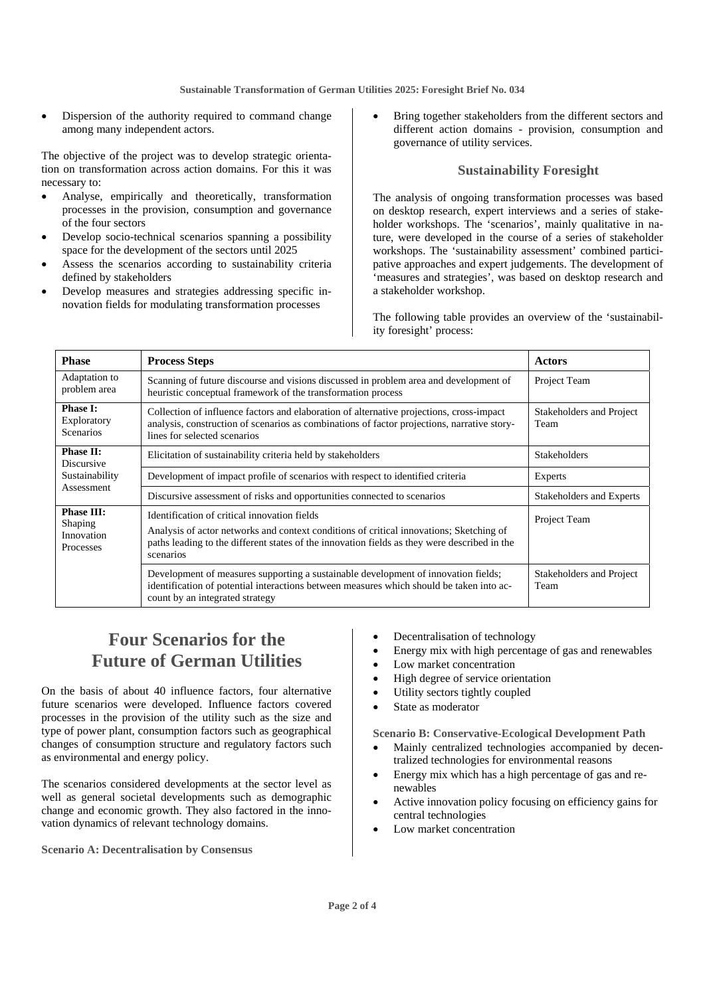**Sustainable Transformation of German Utilities 2025: Foresight Brief No. 034** 

Dispersion of the authority required to command change among many independent actors.

The objective of the project was to develop strategic orientation on transformation across action domains. For this it was necessary to:

- Analyse, empirically and theoretically, transformation processes in the provision, consumption and governance of the four sectors
- Develop socio-technical scenarios spanning a possibility space for the development of the sectors until 2025
- Assess the scenarios according to sustainability criteria defined by stakeholders
- Develop measures and strategies addressing specific innovation fields for modulating transformation processes

Bring together stakeholders from the different sectors and different action domains - provision, consumption and governance of utility services.

#### **Sustainability Foresight**

The analysis of ongoing transformation processes was based on desktop research, expert interviews and a series of stakeholder workshops. The 'scenarios', mainly qualitative in nature, were developed in the course of a series of stakeholder workshops. The 'sustainability assessment' combined participative approaches and expert judgements. The development of 'measures and strategies', was based on desktop research and a stakeholder workshop.

The following table provides an overview of the 'sustainability foresight' process:

| <b>Phase</b>                                                   | <b>Process Steps</b>                                                                                                                                                                                                                                 |                                  |
|----------------------------------------------------------------|------------------------------------------------------------------------------------------------------------------------------------------------------------------------------------------------------------------------------------------------------|----------------------------------|
| Adaptation to<br>problem area                                  | Scanning of future discourse and visions discussed in problem area and development of<br>heuristic conceptual framework of the transformation process                                                                                                | Project Team                     |
| <b>Phase I:</b><br>Exploratory<br><b>Scenarios</b>             | Collection of influence factors and elaboration of alternative projections, cross-impact<br>analysis, construction of scenarios as combinations of factor projections, narrative story-<br>lines for selected scenarios                              | Stakeholders and Project<br>Team |
| <b>Phase II:</b><br><b>Discursive</b>                          | Elicitation of sustainability criteria held by stakeholders                                                                                                                                                                                          | <b>Stakeholders</b>              |
| Sustainability                                                 | Development of impact profile of scenarios with respect to identified criteria                                                                                                                                                                       | Experts                          |
| Assessment                                                     | Discursive assessment of risks and opportunities connected to scenarios                                                                                                                                                                              | Stakeholders and Experts         |
| <b>Phase III:</b><br><b>Shaping</b><br>Innovation<br>Processes | Identification of critical innovation fields<br>Analysis of actor networks and context conditions of critical innovations; Sketching of<br>paths leading to the different states of the innovation fields as they were described in the<br>scenarios | Project Team                     |
|                                                                | Development of measures supporting a sustainable development of innovation fields;<br>identification of potential interactions between measures which should be taken into ac-<br>count by an integrated strategy                                    | Stakeholders and Project<br>Team |

## **Four Scenarios for the Future of German Utilities**

On the basis of about 40 influence factors, four alternative future scenarios were developed. Influence factors covered processes in the provision of the utility such as the size and type of power plant, consumption factors such as geographical changes of consumption structure and regulatory factors such as environmental and energy policy.

The scenarios considered developments at the sector level as well as general societal developments such as demographic change and economic growth. They also factored in the innovation dynamics of relevant technology domains.

**Scenario A: Decentralisation by Consensus** 

- Decentralisation of technology
- Energy mix with high percentage of gas and renewables
- Low market concentration
- High degree of service orientation
- Utility sectors tightly coupled
- State as moderator

**Scenario B: Conservative-Ecological Development Path** 

- Mainly centralized technologies accompanied by decentralized technologies for environmental reasons
- Energy mix which has a high percentage of gas and renewables
- Active innovation policy focusing on efficiency gains for central technologies
- Low market concentration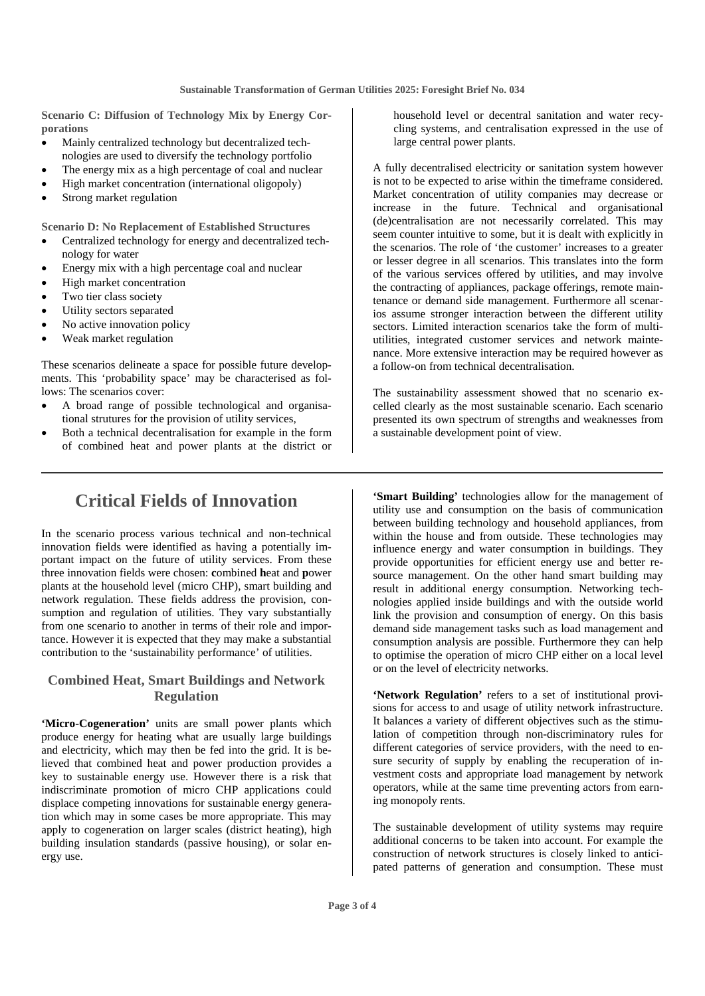**Scenario C: Diffusion of Technology Mix by Energy Corporations** 

- Mainly centralized technology but decentralized technologies are used to diversify the technology portfolio
- The energy mix as a high percentage of coal and nuclear
- High market concentration (international oligopoly)
- Strong market regulation

**Scenario D: No Replacement of Established Structures** 

- Centralized technology for energy and decentralized technology for water
- Energy mix with a high percentage coal and nuclear
- High market concentration
- Two tier class society
- Utility sectors separated
- No active innovation policy
- Weak market regulation

These scenarios delineate a space for possible future developments. This 'probability space' may be characterised as follows: The scenarios cover:

- A broad range of possible technological and organisational strutures for the provision of utility services,
- Both a technical decentralisation for example in the form of combined heat and power plants at the district or

household level or decentral sanitation and water recycling systems, and centralisation expressed in the use of large central power plants.

A fully decentralised electricity or sanitation system however is not to be expected to arise within the timeframe considered. Market concentration of utility companies may decrease or increase in the future. Technical and organisational (de)centralisation are not necessarily correlated. This may seem counter intuitive to some, but it is dealt with explicitly in the scenarios. The role of 'the customer' increases to a greater or lesser degree in all scenarios. This translates into the form of the various services offered by utilities, and may involve the contracting of appliances, package offerings, remote maintenance or demand side management. Furthermore all scenarios assume stronger interaction between the different utility sectors. Limited interaction scenarios take the form of multiutilities, integrated customer services and network maintenance. More extensive interaction may be required however as a follow-on from technical decentralisation.

The sustainability assessment showed that no scenario excelled clearly as the most sustainable scenario. Each scenario presented its own spectrum of strengths and weaknesses from a sustainable development point of view.

### **Critical Fields of Innovation**

In the scenario process various technical and non-technical innovation fields were identified as having a potentially important impact on the future of utility services. From these three innovation fields were chosen: **c**ombined **h**eat and **p**ower plants at the household level (micro CHP), smart building and network regulation. These fields address the provision, consumption and regulation of utilities. They vary substantially from one scenario to another in terms of their role and importance. However it is expected that they may make a substantial contribution to the 'sustainability performance' of utilities.

#### **Combined Heat, Smart Buildings and Network Regulation**

**'Micro-Cogeneration'** units are small power plants which produce energy for heating what are usually large buildings and electricity, which may then be fed into the grid. It is believed that combined heat and power production provides a key to sustainable energy use. However there is a risk that indiscriminate promotion of micro CHP applications could displace competing innovations for sustainable energy generation which may in some cases be more appropriate. This may apply to cogeneration on larger scales (district heating), high building insulation standards (passive housing), or solar energy use.

**'Smart Building'** technologies allow for the management of utility use and consumption on the basis of communication between building technology and household appliances, from within the house and from outside. These technologies may influence energy and water consumption in buildings. They provide opportunities for efficient energy use and better resource management. On the other hand smart building may result in additional energy consumption. Networking technologies applied inside buildings and with the outside world link the provision and consumption of energy. On this basis demand side management tasks such as load management and consumption analysis are possible. Furthermore they can help to optimise the operation of micro CHP either on a local level or on the level of electricity networks.

**'Network Regulation'** refers to a set of institutional provisions for access to and usage of utility network infrastructure. It balances a variety of different objectives such as the stimulation of competition through non-discriminatory rules for different categories of service providers, with the need to ensure security of supply by enabling the recuperation of investment costs and appropriate load management by network operators, while at the same time preventing actors from earning monopoly rents.

The sustainable development of utility systems may require additional concerns to be taken into account. For example the construction of network structures is closely linked to anticipated patterns of generation and consumption. These must